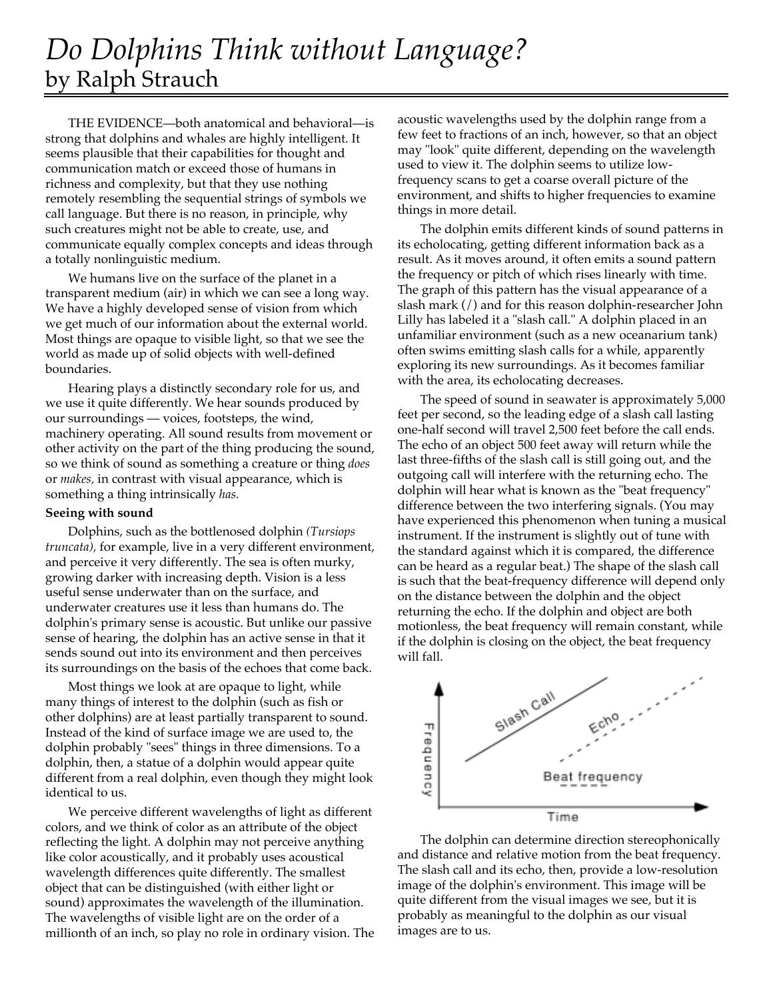## *Do Dolphins Think without Language?* by Ralph Strauch

THE EVIDENCE—both anatomical and behavioral—is strong that dolphins and whales are highly intelligent. It seems plausible that their capabilities for thought and communication match or exceed those of humans in richness and complexity, but that they use nothing remotely resembling the sequential strings of symbols we call language. But there is no reason, in principle, why such creatures might not be able to create, use, and communicate equally complex concepts and ideas through a totally nonlinguistic medium.

We humans live on the surface of the planet in a transparent medium (air) in which we can see a long way. We have a highly developed sense of vision from which we get much of our information about the external world. Most things are opaque to visible light, so that we see the world as made up of solid objects with well-defined boundaries.

Hearing plays a distinctly secondary role for us, and we use it quite differently. We hear sounds produced by our surroundings — voices, footsteps, the wind, machinery operating. All sound results from movement or other activity on the part of the thing producing the sound, so we think of sound as something a creature or thing *does* or *makes,* in contrast with visual appearance, which is something a thing intrinsically *has.*

## **Seeing with sound**

Dolphins, such as the bottlenosed dolphin *(Tursiops truncata),* for example, live in a very different environment, and perceive it very differently. The sea is often murky, growing darker with increasing depth. Vision is a less useful sense underwater than on the surface, and underwater creatures use it less than humans do. The dolphin's primary sense is acoustic. But unlike our passive sense of hearing, the dolphin has an active sense in that it sends sound out into its environment and then perceives its surroundings on the basis of the echoes that come back.

Most things we look at are opaque to light, while many things of interest to the dolphin (such as fish or other dolphins) are at least partially transparent to sound. Instead of the kind of surface image we are used to, the dolphin probably "sees" things in three dimensions. To a dolphin, then, a statue of a dolphin would appear quite different from a real dolphin, even though they might look identical to us.

We perceive different wavelengths of light as different colors, and we think of color as an attribute of the object reflecting the light. A dolphin may not perceive anything like color acoustically, and it probably uses acoustical wavelength differences quite differently. The smallest object that can be distinguished (with either light or sound) approximates the wavelength of the illumination. The wavelengths of visible light are on the order of a millionth of an inch, so play no role in ordinary vision. The acoustic wavelengths used by the dolphin range from a few feet to fractions of an inch, however, so that an object may "look" quite different, depending on the wavelength used to view it. The dolphin seems to utilize lowfrequency scans to get a coarse overall picture of the environment, and shifts to higher frequencies to examine things in more detail.

The dolphin emits different kinds of sound patterns in its echolocating, getting different information back as a result. As it moves around, it often emits a sound pattern the frequency or pitch of which rises linearly with time. The graph of this pattern has the visual appearance of a slash mark (/) and for this reason dolphin-researcher John Lilly has labeled it a "slash call." A dolphin placed in an unfamiliar environment (such as a new oceanarium tank) often swims emitting slash calls for a while, apparently exploring its new surroundings. As it becomes familiar with the area, its echolocating decreases.

The speed of sound in seawater is approximately 5,000 feet per second, so the leading edge of a slash call lasting one-half second will travel 2,500 feet before the call ends. The echo of an object 500 feet away will return while the last three-fifths of the slash call is still going out, and the outgoing call will interfere with the returning echo. The dolphin will hear what is known as the "beat frequency" difference between the two interfering signals. (You may have experienced this phenomenon when tuning a musical instrument. If the instrument is slightly out of tune with the standard against which it is compared, the difference can be heard as a regular beat.) The shape of the slash call is such that the beat-frequency difference will depend only on the distance between the dolphin and the object returning the echo. If the dolphin and object are both motionless, the beat frequency will remain constant, while if the dolphin is closing on the object, the beat frequency will fall.



The dolphin can determine direction stereophonically and distance and relative motion from the beat frequency. The slash call and its echo, then, provide a low-resolution image of the dolphin's environment. This image will be quite different from the visual images we see, but it is probably as meaningful to the dolphin as our visual images are to us.